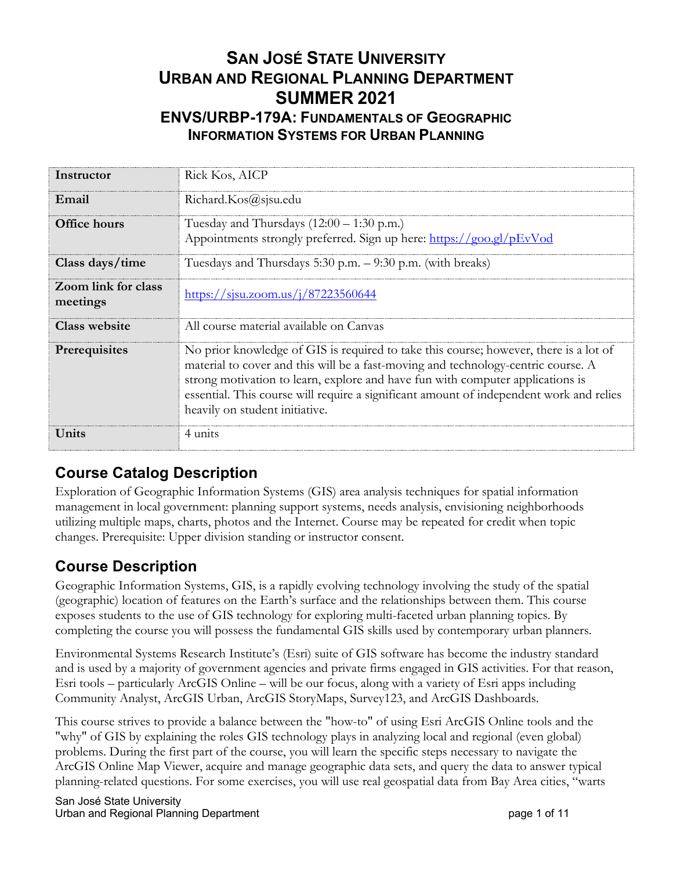# **SAN JOSÉ STATE UNIVERSITY URBAN AND REGIONAL PLANNING DEPARTMENT SUMMER 2021 ENVS/URBP-179A: FUNDAMENTALS OF GEOGRAPHIC INFORMATION SYSTEMS FOR URBAN PLANNING**

| Instructor                      | Rick Kos, AICP                                                                                                                                                                                                                                                                                                                                                                            |
|---------------------------------|-------------------------------------------------------------------------------------------------------------------------------------------------------------------------------------------------------------------------------------------------------------------------------------------------------------------------------------------------------------------------------------------|
| Email                           | Richard.Kos@sjsu.edu                                                                                                                                                                                                                                                                                                                                                                      |
| Office hours                    | Tuesday and Thursdays $(12:00 - 1:30 \text{ p.m.})$<br>Appointments strongly preferred. Sign up here: https://goo.gl/pEvVod                                                                                                                                                                                                                                                               |
| Class days/time                 | Tuesdays and Thursdays 5:30 p.m. - 9:30 p.m. (with breaks)                                                                                                                                                                                                                                                                                                                                |
| Zoom link for class<br>meetings | https://sisu.zoom.us/j/87223560644                                                                                                                                                                                                                                                                                                                                                        |
| <b>Class website</b>            | All course material available on Canvas                                                                                                                                                                                                                                                                                                                                                   |
| Prerequisites                   | No prior knowledge of GIS is required to take this course; however, there is a lot of<br>material to cover and this will be a fast-moving and technology-centric course. A<br>strong motivation to learn, explore and have fun with computer applications is<br>essential. This course will require a significant amount of independent work and relies<br>heavily on student initiative. |
| Units                           | 4 units                                                                                                                                                                                                                                                                                                                                                                                   |

# **Course Catalog Description**

Exploration of Geographic Information Systems (GIS) area analysis techniques for spatial information management in local government: planning support systems, needs analysis, envisioning neighborhoods utilizing multiple maps, charts, photos and the Internet. Course may be repeated for credit when topic changes. Prerequisite: Upper division standing or instructor consent.

# **Course Description**

Geographic Information Systems, GIS, is a rapidly evolving technology involving the study of the spatial (geographic) location of features on the Earth's surface and the relationships between them. This course exposes students to the use of GIS technology for exploring multi-faceted urban planning topics. By completing the course you will possess the fundamental GIS skills used by contemporary urban planners.

Environmental Systems Research Institute's (Esri) suite of GIS software has become the industry standard and is used by a majority of government agencies and private firms engaged in GIS activities. For that reason, Esri tools – particularly ArcGIS Online – will be our focus, along with a variety of Esri apps including Community Analyst, ArcGIS Urban, ArcGIS StoryMaps, Survey123, and ArcGIS Dashboards.

This course strives to provide a balance between the "how-to" of using Esri ArcGIS Online tools and the "why" of GIS by explaining the roles GIS technology plays in analyzing local and regional (even global) problems. During the first part of the course, you will learn the specific steps necessary to navigate the ArcGIS Online Map Viewer, acquire and manage geographic data sets, and query the data to answer typical planning-related questions. For some exercises, you will use real geospatial data from Bay Area cities, "warts

San José State University Urban and Regional Planning Department **page 1** of 11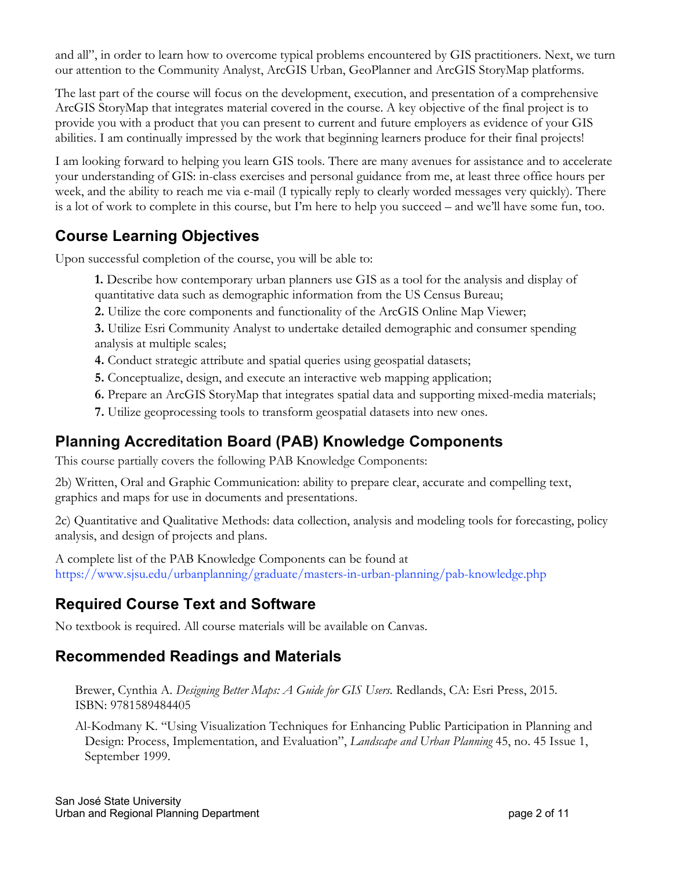and all", in order to learn how to overcome typical problems encountered by GIS practitioners. Next, we turn our attention to the Community Analyst, ArcGIS Urban, GeoPlanner and ArcGIS StoryMap platforms.

The last part of the course will focus on the development, execution, and presentation of a comprehensive ArcGIS StoryMap that integrates material covered in the course. A key objective of the final project is to provide you with a product that you can present to current and future employers as evidence of your GIS abilities. I am continually impressed by the work that beginning learners produce for their final projects!

I am looking forward to helping you learn GIS tools. There are many avenues for assistance and to accelerate your understanding of GIS: in-class exercises and personal guidance from me, at least three office hours per week, and the ability to reach me via e-mail (I typically reply to clearly worded messages very quickly). There is a lot of work to complete in this course, but I'm here to help you succeed – and we'll have some fun, too.

# **Course Learning Objectives**

Upon successful completion of the course, you will be able to:

**1.** Describe how contemporary urban planners use GIS as a tool for the analysis and display of quantitative data such as demographic information from the US Census Bureau;

**2.** Utilize the core components and functionality of the ArcGIS Online Map Viewer;

**3.** Utilize Esri Community Analyst to undertake detailed demographic and consumer spending analysis at multiple scales;

- **4.** Conduct strategic attribute and spatial queries using geospatial datasets;
- **5.** Conceptualize, design, and execute an interactive web mapping application;
- **6.** Prepare an ArcGIS StoryMap that integrates spatial data and supporting mixed-media materials;
- **7.** Utilize geoprocessing tools to transform geospatial datasets into new ones.

### **Planning Accreditation Board (PAB) Knowledge Components**

This course partially covers the following PAB Knowledge Components:

2b) Written, Oral and Graphic Communication: ability to prepare clear, accurate and compelling text, graphics and maps for use in documents and presentations.

2c) Quantitative and Qualitative Methods: data collection, analysis and modeling tools for forecasting, policy analysis, and design of projects and plans.

A complete list of the PAB Knowledge Components can be found at https://www.sjsu.edu/urbanplanning/graduate/masters-in-urban-planning/pab-knowledge.php

# **Required Course Text and Software**

No textbook is required. All course materials will be available on Canvas.

### **Recommended Readings and Materials**

Brewer, Cynthia A. *Designing Better Maps: A Guide for GIS Users.* Redlands, CA: Esri Press, 2015. ISBN: 9781589484405

Al-Kodmany K. "Using Visualization Techniques for Enhancing Public Participation in Planning and Design: Process, Implementation, and Evaluation", *Landscape and Urban Planning* 45, no. 45 Issue 1, September 1999.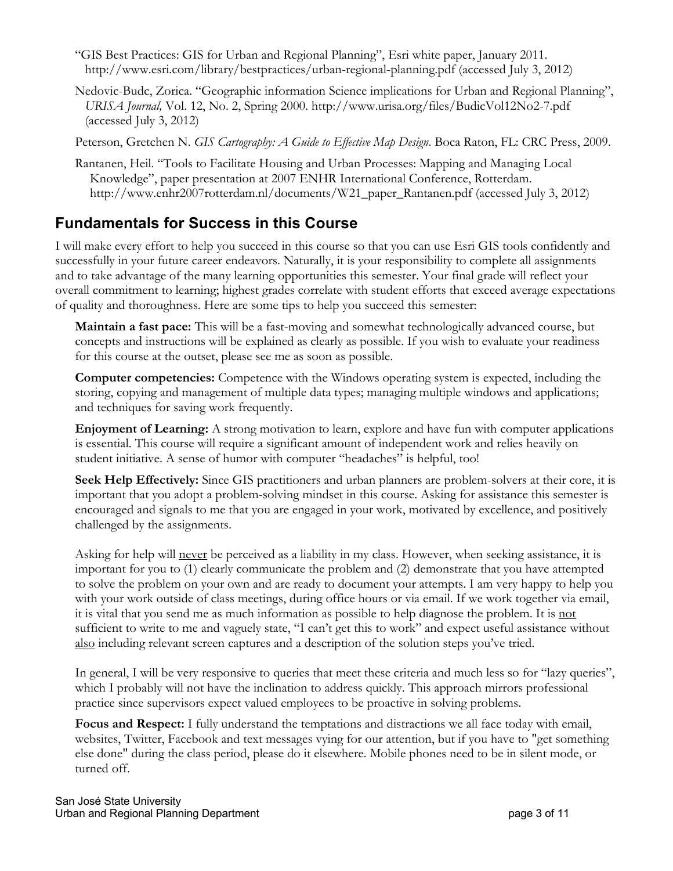- "GIS Best Practices: GIS for Urban and Regional Planning", Esri white paper, January 2011. http://www.esri.com/library/bestpractices/urban-regional-planning.pdf (accessed July 3, 2012)
- Nedovic-Budc, Zorica. "Geographic information Science implications for Urban and Regional Planning", *URISA Journal,* Vol. 12, No. 2, Spring 2000. http://www.urisa.org/files/BudicVol12No2-7.pdf (accessed July 3, 2012)

Peterson, Gretchen N. *GIS Cartography: A Guide to Effective Map Design*. Boca Raton, FL: CRC Press, 2009.

Rantanen, Heil. "Tools to Facilitate Housing and Urban Processes: Mapping and Managing Local Knowledge", paper presentation at 2007 ENHR International Conference, Rotterdam. http://www.enhr2007rotterdam.nl/documents/W21\_paper\_Rantanen.pdf (accessed July 3, 2012)

# **Fundamentals for Success in this Course**

I will make every effort to help you succeed in this course so that you can use Esri GIS tools confidently and successfully in your future career endeavors. Naturally, it is your responsibility to complete all assignments and to take advantage of the many learning opportunities this semester. Your final grade will reflect your overall commitment to learning; highest grades correlate with student efforts that exceed average expectations of quality and thoroughness. Here are some tips to help you succeed this semester:

**Maintain a fast pace:** This will be a fast-moving and somewhat technologically advanced course, but concepts and instructions will be explained as clearly as possible. If you wish to evaluate your readiness for this course at the outset, please see me as soon as possible.

**Computer competencies:** Competence with the Windows operating system is expected, including the storing, copying and management of multiple data types; managing multiple windows and applications; and techniques for saving work frequently.

**Enjoyment of Learning:** A strong motivation to learn, explore and have fun with computer applications is essential. This course will require a significant amount of independent work and relies heavily on student initiative. A sense of humor with computer "headaches" is helpful, too!

**Seek Help Effectively:** Since GIS practitioners and urban planners are problem-solvers at their core, it is important that you adopt a problem-solving mindset in this course. Asking for assistance this semester is encouraged and signals to me that you are engaged in your work, motivated by excellence, and positively challenged by the assignments.

Asking for help will never be perceived as a liability in my class. However, when seeking assistance, it is important for you to (1) clearly communicate the problem and (2) demonstrate that you have attempted to solve the problem on your own and are ready to document your attempts. I am very happy to help you with your work outside of class meetings, during office hours or via email. If we work together via email, it is vital that you send me as much information as possible to help diagnose the problem. It is not sufficient to write to me and vaguely state, "I can't get this to work" and expect useful assistance without also including relevant screen captures and a description of the solution steps you've tried.

In general, I will be very responsive to queries that meet these criteria and much less so for "lazy queries", which I probably will not have the inclination to address quickly. This approach mirrors professional practice since supervisors expect valued employees to be proactive in solving problems.

**Focus and Respect:** I fully understand the temptations and distractions we all face today with email, websites, Twitter, Facebook and text messages vying for our attention, but if you have to "get something else done" during the class period, please do it elsewhere. Mobile phones need to be in silent mode, or turned off.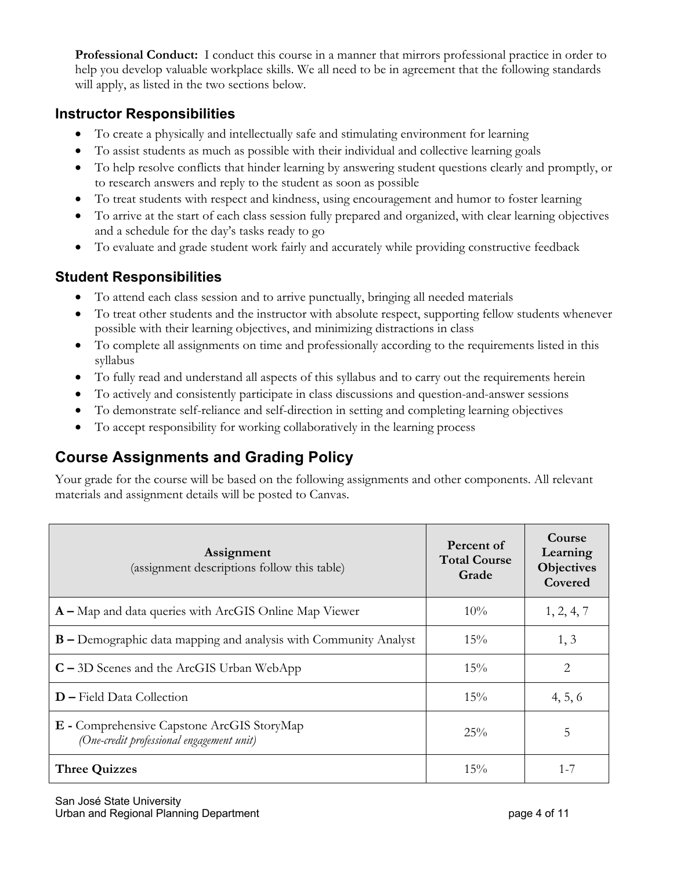**Professional Conduct:** I conduct this course in a manner that mirrors professional practice in order to help you develop valuable workplace skills. We all need to be in agreement that the following standards will apply, as listed in the two sections below.

#### **Instructor Responsibilities**

- To create a physically and intellectually safe and stimulating environment for learning
- To assist students as much as possible with their individual and collective learning goals
- To help resolve conflicts that hinder learning by answering student questions clearly and promptly, or to research answers and reply to the student as soon as possible
- To treat students with respect and kindness, using encouragement and humor to foster learning
- To arrive at the start of each class session fully prepared and organized, with clear learning objectives and a schedule for the day's tasks ready to go
- To evaluate and grade student work fairly and accurately while providing constructive feedback

### **Student Responsibilities**

- To attend each class session and to arrive punctually, bringing all needed materials
- To treat other students and the instructor with absolute respect, supporting fellow students whenever possible with their learning objectives, and minimizing distractions in class
- To complete all assignments on time and professionally according to the requirements listed in this syllabus
- To fully read and understand all aspects of this syllabus and to carry out the requirements herein
- To actively and consistently participate in class discussions and question-and-answer sessions
- To demonstrate self-reliance and self-direction in setting and completing learning objectives
- To accept responsibility for working collaboratively in the learning process

# **Course Assignments and Grading Policy**

Your grade for the course will be based on the following assignments and other components. All relevant materials and assignment details will be posted to Canvas.

| Assignment<br>(assignment descriptions follow this table)                               | Percent of<br><b>Total Course</b><br>Grade | Course<br>Learning<br><b>Objectives</b><br>Covered |
|-----------------------------------------------------------------------------------------|--------------------------------------------|----------------------------------------------------|
| $A - Map$ and data queries with ArcGIS Online Map Viewer                                | $10\%$                                     | 1, 2, 4, 7                                         |
| <b>B</b> – Demographic data mapping and analysis with Community Analyst                 | $15\%$                                     | 1, 3                                               |
| $C - 3D$ Scenes and the ArcGIS Urban WebApp                                             | $15\%$                                     | 2                                                  |
| $D$ – Field Data Collection                                                             | 15%                                        | 4, 5, 6                                            |
| E - Comprehensive Capstone ArcGIS StoryMap<br>(One-credit professional engagement unit) | 25%                                        | 5                                                  |
| <b>Three Quizzes</b>                                                                    | $15\%$                                     | 1-7                                                |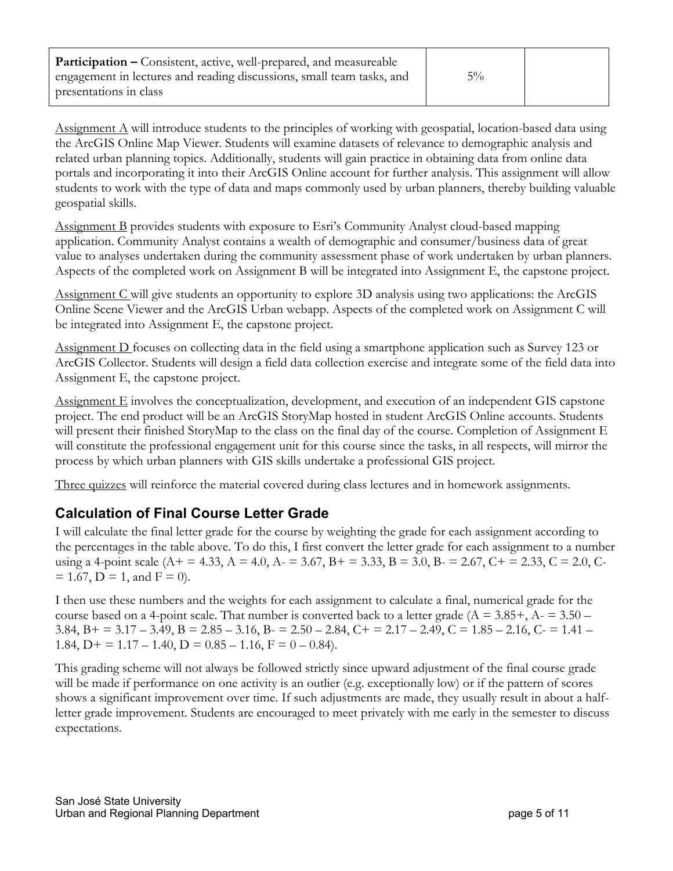| <b>Participation –</b> Consistent, active, well-prepared, and measureable |       |  |
|---------------------------------------------------------------------------|-------|--|
| engagement in lectures and reading discussions, small team tasks, and     | $5\%$ |  |
| presentations in class                                                    |       |  |

Assignment A will introduce students to the principles of working with geospatial, location-based data using the ArcGIS Online Map Viewer. Students will examine datasets of relevance to demographic analysis and related urban planning topics. Additionally, students will gain practice in obtaining data from online data portals and incorporating it into their ArcGIS Online account for further analysis. This assignment will allow students to work with the type of data and maps commonly used by urban planners, thereby building valuable geospatial skills.

Assignment B provides students with exposure to Esri's Community Analyst cloud-based mapping application. Community Analyst contains a wealth of demographic and consumer/business data of great value to analyses undertaken during the community assessment phase of work undertaken by urban planners. Aspects of the completed work on Assignment B will be integrated into Assignment E, the capstone project.

Assignment C will give students an opportunity to explore 3D analysis using two applications: the ArcGIS Online Scene Viewer and the ArcGIS Urban webapp. Aspects of the completed work on Assignment C will be integrated into Assignment E, the capstone project.

Assignment D focuses on collecting data in the field using a smartphone application such as Survey 123 or ArcGIS Collector. Students will design a field data collection exercise and integrate some of the field data into Assignment E, the capstone project.

Assignment E involves the conceptualization, development, and execution of an independent GIS capstone project. The end product will be an ArcGIS StoryMap hosted in student ArcGIS Online accounts. Students will present their finished StoryMap to the class on the final day of the course. Completion of Assignment E will constitute the professional engagement unit for this course since the tasks, in all respects, will mirror the process by which urban planners with GIS skills undertake a professional GIS project.

Three quizzes will reinforce the material covered during class lectures and in homework assignments.

#### **Calculation of Final Course Letter Grade**

I will calculate the final letter grade for the course by weighting the grade for each assignment according to the percentages in the table above. To do this, I first convert the letter grade for each assignment to a number using a 4-point scale (A+ = 4.33, A = 4.0, A- = 3.67, B+ = 3.33, B = 3.0, B- = 2.67, C+ = 2.33, C = 2.0, C- $= 1.67$ , D = 1, and F = 0).

I then use these numbers and the weights for each assignment to calculate a final, numerical grade for the course based on a 4-point scale. That number is converted back to a letter grade ( $A = 3.85 +$ ,  $A = 3.50 -$ 3.84, B + = 3.17 – 3.49, B = 2.85 – 3.16, B =  $2.50 - 2.84$ , C + =  $2.17 - 2.49$ , C =  $1.85 - 2.16$ , C =  $1.41 -$ 1.84, D + = 1.17 – 1.40, D =  $0.85 - 1.16$ , F =  $0 - 0.84$ ).

This grading scheme will not always be followed strictly since upward adjustment of the final course grade will be made if performance on one activity is an outlier (e.g. exceptionally low) or if the pattern of scores shows a significant improvement over time. If such adjustments are made, they usually result in about a halfletter grade improvement. Students are encouraged to meet privately with me early in the semester to discuss expectations.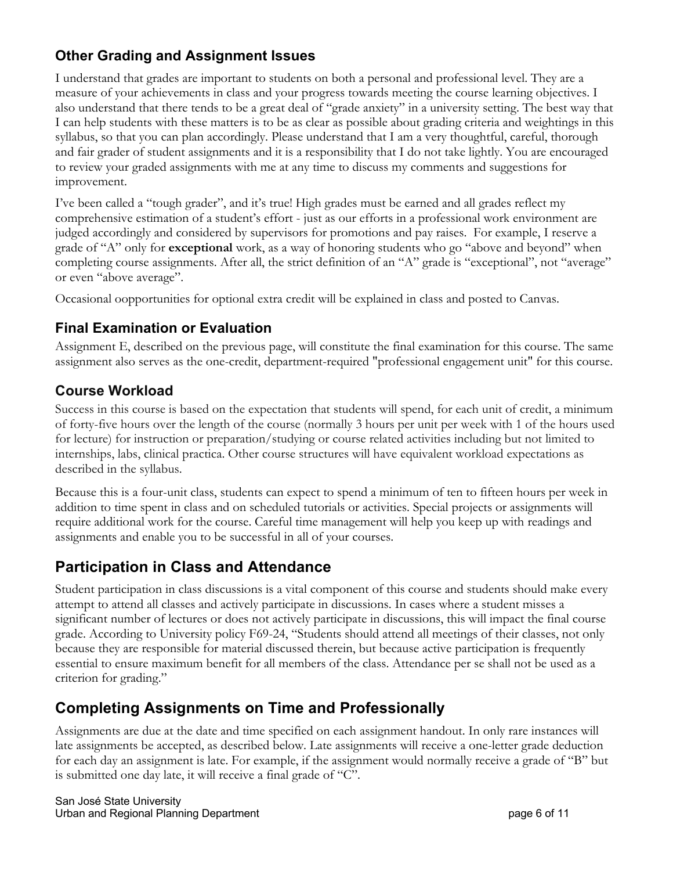### **Other Grading and Assignment Issues**

I understand that grades are important to students on both a personal and professional level. They are a measure of your achievements in class and your progress towards meeting the course learning objectives. I also understand that there tends to be a great deal of "grade anxiety" in a university setting. The best way that I can help students with these matters is to be as clear as possible about grading criteria and weightings in this syllabus, so that you can plan accordingly. Please understand that I am a very thoughtful, careful, thorough and fair grader of student assignments and it is a responsibility that I do not take lightly. You are encouraged to review your graded assignments with me at any time to discuss my comments and suggestions for improvement.

I've been called a "tough grader", and it's true! High grades must be earned and all grades reflect my comprehensive estimation of a student's effort - just as our efforts in a professional work environment are judged accordingly and considered by supervisors for promotions and pay raises. For example, I reserve a grade of "A" only for **exceptional** work, as a way of honoring students who go "above and beyond" when completing course assignments. After all, the strict definition of an "A" grade is "exceptional", not "average" or even "above average".

Occasional oopportunities for optional extra credit will be explained in class and posted to Canvas.

### **Final Examination or Evaluation**

Assignment E, described on the previous page, will constitute the final examination for this course. The same assignment also serves as the one-credit, department-required "professional engagement unit" for this course.

### **Course Workload**

Success in this course is based on the expectation that students will spend, for each unit of credit, a minimum of forty-five hours over the length of the course (normally 3 hours per unit per week with 1 of the hours used for lecture) for instruction or preparation/studying or course related activities including but not limited to internships, labs, clinical practica. Other course structures will have equivalent workload expectations as described in the syllabus.

Because this is a four-unit class, students can expect to spend a minimum of ten to fifteen hours per week in addition to time spent in class and on scheduled tutorials or activities. Special projects or assignments will require additional work for the course. Careful time management will help you keep up with readings and assignments and enable you to be successful in all of your courses.

# **Participation in Class and Attendance**

Student participation in class discussions is a vital component of this course and students should make every attempt to attend all classes and actively participate in discussions. In cases where a student misses a significant number of lectures or does not actively participate in discussions, this will impact the final course grade. According to University policy F69-24, "Students should attend all meetings of their classes, not only because they are responsible for material discussed therein, but because active participation is frequently essential to ensure maximum benefit for all members of the class. Attendance per se shall not be used as a criterion for grading."

# **Completing Assignments on Time and Professionally**

Assignments are due at the date and time specified on each assignment handout. In only rare instances will late assignments be accepted, as described below. Late assignments will receive a one-letter grade deduction for each day an assignment is late. For example, if the assignment would normally receive a grade of "B" but is submitted one day late, it will receive a final grade of "C".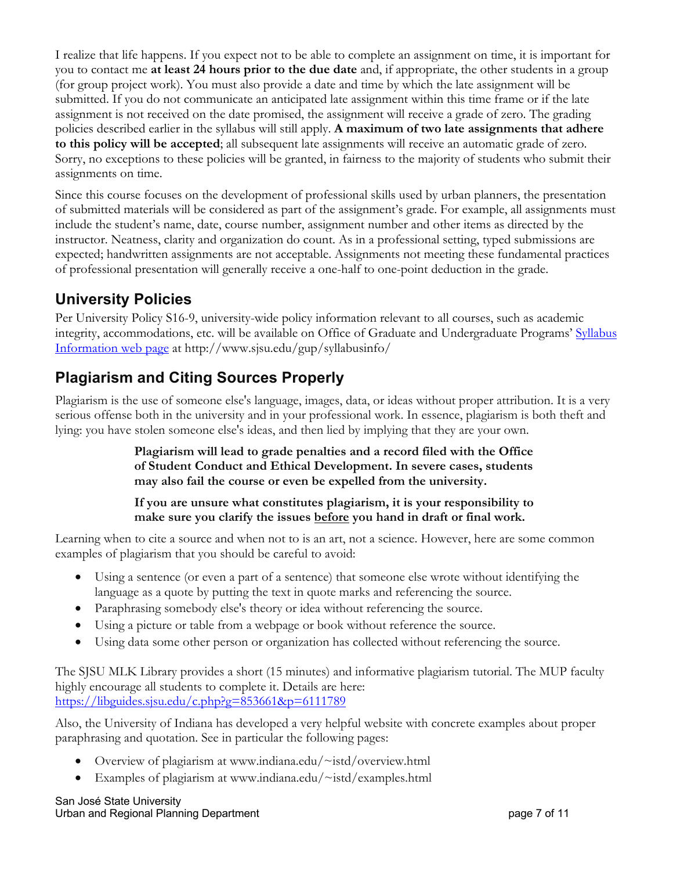I realize that life happens. If you expect not to be able to complete an assignment on time, it is important for you to contact me **at least 24 hours prior to the due date** and, if appropriate, the other students in a group (for group project work). You must also provide a date and time by which the late assignment will be submitted. If you do not communicate an anticipated late assignment within this time frame or if the late assignment is not received on the date promised, the assignment will receive a grade of zero. The grading policies described earlier in the syllabus will still apply. **A maximum of two late assignments that adhere to this policy will be accepted**; all subsequent late assignments will receive an automatic grade of zero. Sorry, no exceptions to these policies will be granted, in fairness to the majority of students who submit their assignments on time.

Since this course focuses on the development of professional skills used by urban planners, the presentation of submitted materials will be considered as part of the assignment's grade. For example, all assignments must include the student's name, date, course number, assignment number and other items as directed by the instructor. Neatness, clarity and organization do count. As in a professional setting, typed submissions are expected; handwritten assignments are not acceptable. Assignments not meeting these fundamental practices of professional presentation will generally receive a one-half to one-point deduction in the grade.

# **University Policies**

Per University Policy S16-9, university-wide policy information relevant to all courses, such as academic integrity, accommodations, etc. will be available on Office of Graduate and Undergraduate Programs' Syllabus Information web page at http://www.sjsu.edu/gup/syllabusinfo/

# **Plagiarism and Citing Sources Properly**

Plagiarism is the use of someone else's language, images, data, or ideas without proper attribution. It is a very serious offense both in the university and in your professional work. In essence, plagiarism is both theft and lying: you have stolen someone else's ideas, and then lied by implying that they are your own.

> **Plagiarism will lead to grade penalties and a record filed with the Office of Student Conduct and Ethical Development. In severe cases, students may also fail the course or even be expelled from the university.**

#### **If you are unsure what constitutes plagiarism, it is your responsibility to make sure you clarify the issues before you hand in draft or final work.**

Learning when to cite a source and when not to is an art, not a science. However, here are some common examples of plagiarism that you should be careful to avoid:

- Using a sentence (or even a part of a sentence) that someone else wrote without identifying the language as a quote by putting the text in quote marks and referencing the source.
- Paraphrasing somebody else's theory or idea without referencing the source.
- Using a picture or table from a webpage or book without reference the source.
- Using data some other person or organization has collected without referencing the source.

The SJSU MLK Library provides a short (15 minutes) and informative plagiarism tutorial. The MUP faculty highly encourage all students to complete it. Details are here: https://libguides.sjsu.edu/c.php?g=853661&p=6111789

Also, the University of Indiana has developed a very helpful website with concrete examples about proper paraphrasing and quotation. See in particular the following pages:

- Overview of plagiarism at www.indiana.edu/~istd/overview.html
- Examples of plagiarism at www.indiana.edu/~istd/examples.html

San José State University Urban and Regional Planning Department **page 7** of 11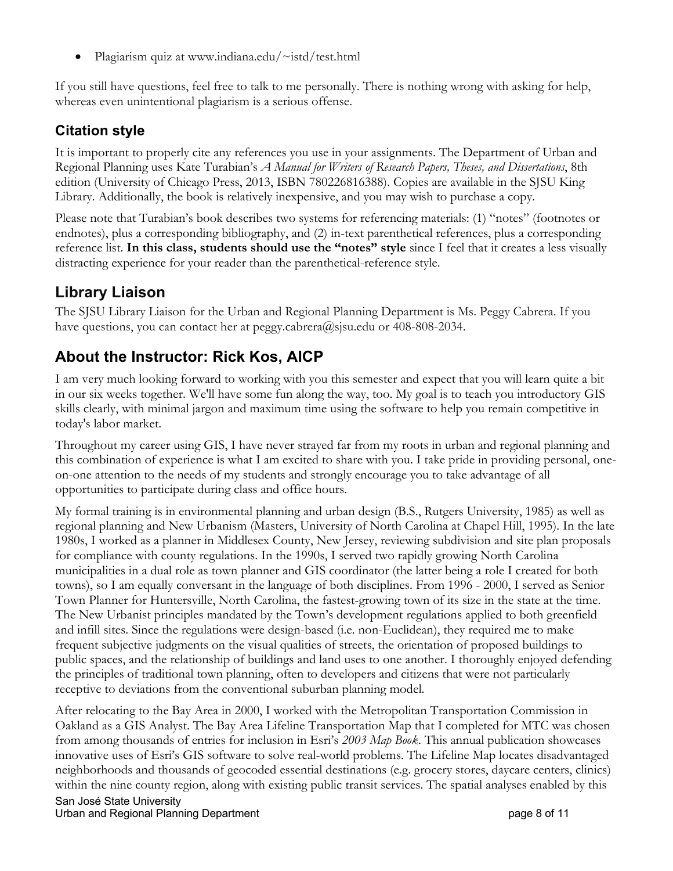• Plagiarism quiz at www.indiana.edu/~istd/test.html

If you still have questions, feel free to talk to me personally. There is nothing wrong with asking for help, whereas even unintentional plagiarism is a serious offense.

### **Citation style**

It is important to properly cite any references you use in your assignments. The Department of Urban and Regional Planning uses Kate Turabian's *A Manual for Writers of Research Papers, Theses, and Dissertations*, 8th edition (University of Chicago Press, 2013, ISBN 780226816388). Copies are available in the SJSU King Library. Additionally, the book is relatively inexpensive, and you may wish to purchase a copy.

Please note that Turabian's book describes two systems for referencing materials: (1) "notes" (footnotes or endnotes), plus a corresponding bibliography, and (2) in-text parenthetical references, plus a corresponding reference list. **In this class, students should use the "notes" style** since I feel that it creates a less visually distracting experience for your reader than the parenthetical-reference style.

# **Library Liaison**

The SJSU Library Liaison for the Urban and Regional Planning Department is Ms. Peggy Cabrera. If you have questions, you can contact her at peggy.cabrera@sjsu.edu or 408-808-2034.

# **About the Instructor: Rick Kos, AICP**

I am very much looking forward to working with you this semester and expect that you will learn quite a bit in our six weeks together. We'll have some fun along the way, too. My goal is to teach you introductory GIS skills clearly, with minimal jargon and maximum time using the software to help you remain competitive in today's labor market.

Throughout my career using GIS, I have never strayed far from my roots in urban and regional planning and this combination of experience is what I am excited to share with you. I take pride in providing personal, oneon-one attention to the needs of my students and strongly encourage you to take advantage of all opportunities to participate during class and office hours.

My formal training is in environmental planning and urban design (B.S., Rutgers University, 1985) as well as regional planning and New Urbanism (Masters, University of North Carolina at Chapel Hill, 1995). In the late 1980s, I worked as a planner in Middlesex County, New Jersey, reviewing subdivision and site plan proposals for compliance with county regulations. In the 1990s, I served two rapidly growing North Carolina municipalities in a dual role as town planner and GIS coordinator (the latter being a role I created for both towns), so I am equally conversant in the language of both disciplines. From 1996 - 2000, I served as Senior Town Planner for Huntersville, North Carolina, the fastest-growing town of its size in the state at the time. The New Urbanist principles mandated by the Town's development regulations applied to both greenfield and infill sites. Since the regulations were design-based (i.e. non-Euclidean), they required me to make frequent subjective judgments on the visual qualities of streets, the orientation of proposed buildings to public spaces, and the relationship of buildings and land uses to one another. I thoroughly enjoyed defending the principles of traditional town planning, often to developers and citizens that were not particularly receptive to deviations from the conventional suburban planning model.

After relocating to the Bay Area in 2000, I worked with the Metropolitan Transportation Commission in Oakland as a GIS Analyst. The Bay Area Lifeline Transportation Map that I completed for MTC was chosen from among thousands of entries for inclusion in Esri's *2003 Map Book*. This annual publication showcases innovative uses of Esri's GIS software to solve real-world problems. The Lifeline Map locates disadvantaged neighborhoods and thousands of geocoded essential destinations (e.g. grocery stores, daycare centers, clinics) within the nine county region, along with existing public transit services. The spatial analyses enabled by this

San José State University Urban and Regional Planning Department **page 8 of 11** and 12 of 11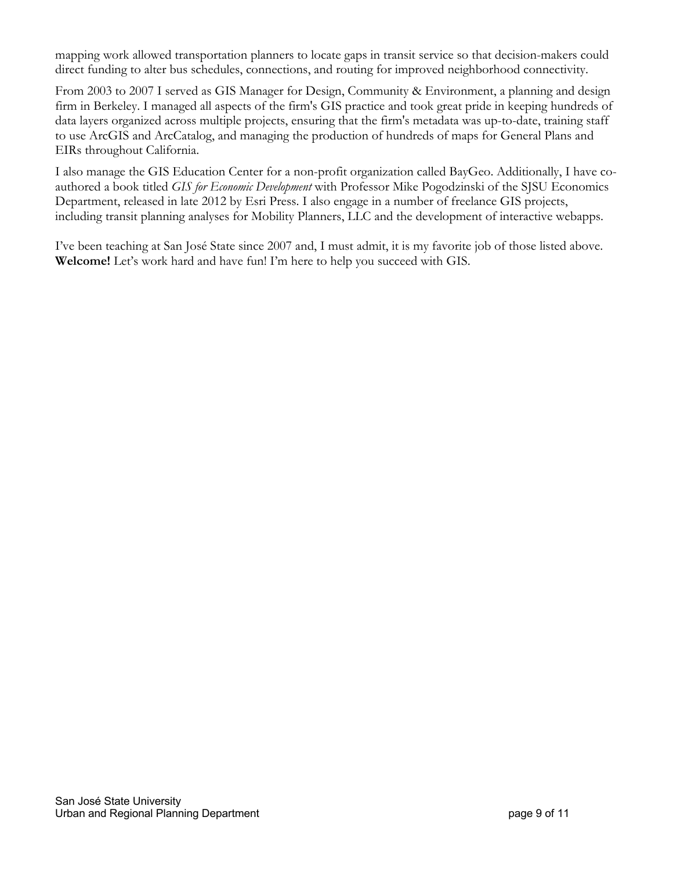mapping work allowed transportation planners to locate gaps in transit service so that decision-makers could direct funding to alter bus schedules, connections, and routing for improved neighborhood connectivity.

From 2003 to 2007 I served as GIS Manager for Design, Community & Environment, a planning and design firm in Berkeley. I managed all aspects of the firm's GIS practice and took great pride in keeping hundreds of data layers organized across multiple projects, ensuring that the firm's metadata was up-to-date, training staff to use ArcGIS and ArcCatalog, and managing the production of hundreds of maps for General Plans and EIRs throughout California.

I also manage the GIS Education Center for a non-profit organization called BayGeo. Additionally, I have coauthored a book titled *GIS for Economic Development* with Professor Mike Pogodzinski of the SJSU Economics Department, released in late 2012 by Esri Press. I also engage in a number of freelance GIS projects, including transit planning analyses for Mobility Planners, LLC and the development of interactive webapps.

I've been teaching at San José State since 2007 and, I must admit, it is my favorite job of those listed above. **Welcome!** Let's work hard and have fun! I'm here to help you succeed with GIS.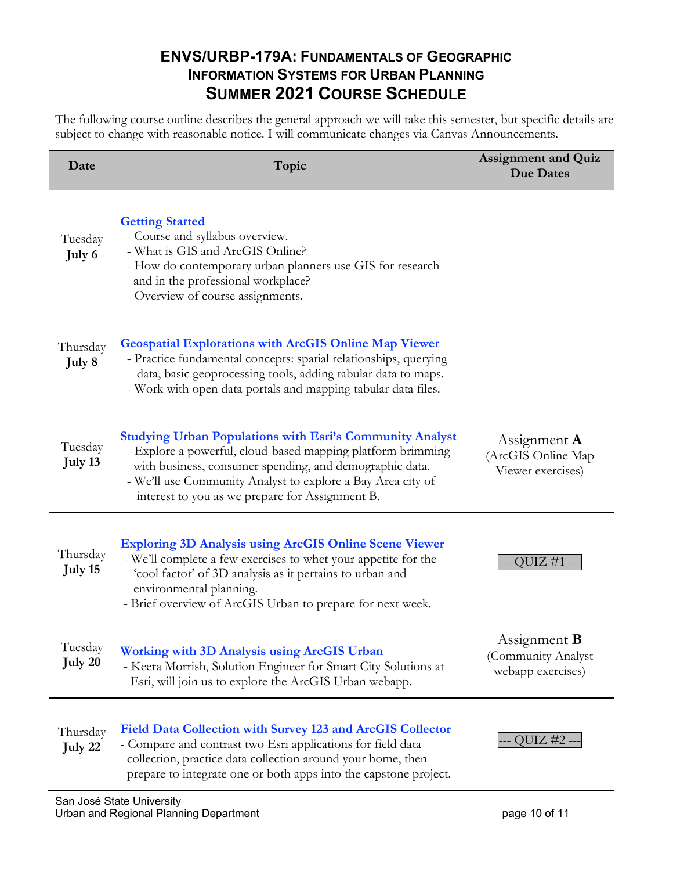### **ENVS/URBP-179A: FUNDAMENTALS OF GEOGRAPHIC INFORMATION SYSTEMS FOR URBAN PLANNING SUMMER 2021 COURSE SCHEDULE**

The following course outline describes the general approach we will take this semester, but specific details are subject to change with reasonable notice. I will communicate changes via Canvas Announcements.

| Date                | Topic                                                                                                                                                                                                                                                                                                       | <b>Assignment and Quiz</b><br><b>Due Dates</b>                 |
|---------------------|-------------------------------------------------------------------------------------------------------------------------------------------------------------------------------------------------------------------------------------------------------------------------------------------------------------|----------------------------------------------------------------|
| Tuesday<br>July 6   | <b>Getting Started</b><br>- Course and syllabus overview.<br>- What is GIS and ArcGIS Online?<br>- How do contemporary urban planners use GIS for research<br>and in the professional workplace?<br>- Overview of course assignments.                                                                       |                                                                |
| Thursday<br>July 8  | <b>Geospatial Explorations with ArcGIS Online Map Viewer</b><br>- Practice fundamental concepts: spatial relationships, querying<br>data, basic geoprocessing tools, adding tabular data to maps.<br>- Work with open data portals and mapping tabular data files.                                          |                                                                |
| Tuesday<br>July 13  | <b>Studying Urban Populations with Esri's Community Analyst</b><br>- Explore a powerful, cloud-based mapping platform brimming<br>with business, consumer spending, and demographic data.<br>- We'll use Community Analyst to explore a Bay Area city of<br>interest to you as we prepare for Assignment B. | Assignment $\bf{A}$<br>(ArcGIS Online Map<br>Viewer exercises) |
| Thursday<br>July 15 | <b>Exploring 3D Analysis using ArcGIS Online Scene Viewer</b><br>- We'll complete a few exercises to whet your appetite for the<br>'cool factor' of 3D analysis as it pertains to urban and<br>environmental planning.<br>- Brief overview of ArcGIS Urban to prepare for next week.                        | QUIZ $#1 -$                                                    |
| Tuesday<br>July 20  | <b>Working with 3D Analysis using ArcGIS Urban</b><br>- Keera Morrish, Solution Engineer for Smart City Solutions at<br>Esri, will join us to explore the ArcGIS Urban webapp.                                                                                                                              | Assignment <b>B</b><br>(Community Analyst<br>webapp exercises) |
| Thursday<br>July 22 | Field Data Collection with Survey 123 and ArcGIS Collector<br>- Compare and contrast two Esri applications for field data<br>collection, practice data collection around your home, then<br>prepare to integrate one or both apps into the capstone project.                                                | QUIZ #2 -                                                      |